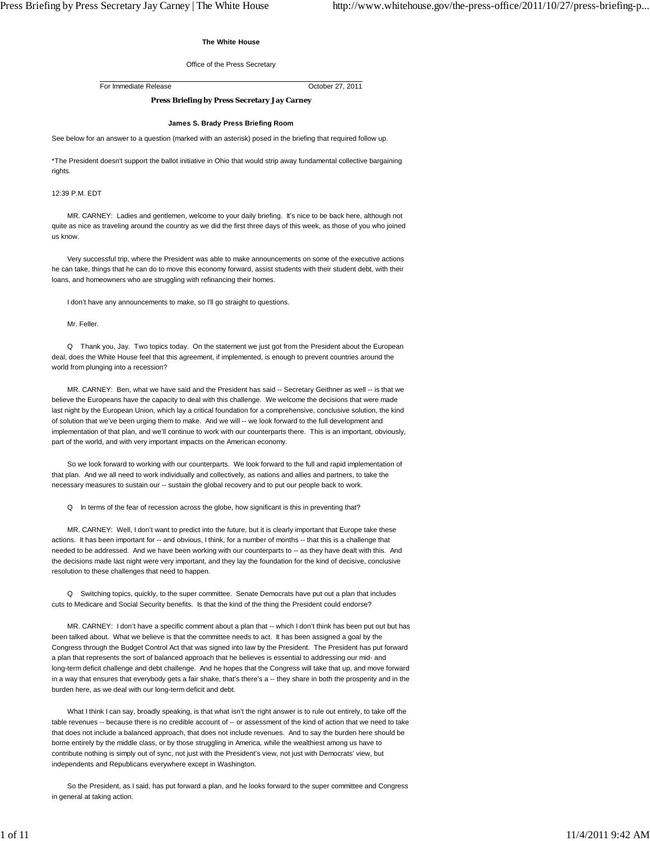## **The White House**

## Office of the Press Secretary

For Immediate Release October 27, 2011

# **Press Briefing by Press Secretary Jay Carney**

# **James S. Brady Press Briefing Room**

See below for an answer to a question (marked with an asterisk) posed in the briefing that required follow up.

\*The President doesn't support the ballot initiative in Ohio that would strip away fundamental collective bargaining rights.

### 12:39 P.M. EDT

 MR. CARNEY: Ladies and gentlemen, welcome to your daily briefing. It's nice to be back here, although not quite as nice as traveling around the country as we did the first three days of this week, as those of you who joined us know.

 Very successful trip, where the President was able to make announcements on some of the executive actions he can take, things that he can do to move this economy forward, assist students with their student debt, with their loans, and homeowners who are struggling with refinancing their homes.

I don't have any announcements to make, so I'll go straight to questions.

Mr. Feller.

 Q Thank you, Jay. Two topics today. On the statement we just got from the President about the European deal, does the White House feel that this agreement, if implemented, is enough to prevent countries around the world from plunging into a recession?

 MR. CARNEY: Ben, what we have said and the President has said -- Secretary Geithner as well -- is that we believe the Europeans have the capacity to deal with this challenge. We welcome the decisions that were made last night by the European Union, which lay a critical foundation for a comprehensive, conclusive solution, the kind of solution that we've been urging them to make. And we will -- we look forward to the full development and implementation of that plan, and we'll continue to work with our counterparts there. This is an important, obviously, part of the world, and with very important impacts on the American economy.

 So we look forward to working with our counterparts. We look forward to the full and rapid implementation of that plan. And we all need to work individually and collectively, as nations and allies and partners, to take the necessary measures to sustain our -- sustain the global recovery and to put our people back to work.

Q In terms of the fear of recession across the globe, how significant is this in preventing that?

 MR. CARNEY: Well, I don't want to predict into the future, but it is clearly important that Europe take these actions. It has been important for -- and obvious, I think, for a number of months -- that this is a challenge that needed to be addressed. And we have been working with our counterparts to -- as they have dealt with this. And the decisions made last night were very important, and they lay the foundation for the kind of decisive, conclusive resolution to these challenges that need to happen.

 Q Switching topics, quickly, to the super committee. Senate Democrats have put out a plan that includes cuts to Medicare and Social Security benefits. Is that the kind of the thing the President could endorse?

 MR. CARNEY: I don't have a specific comment about a plan that -- which I don't think has been put out but has been talked about. What we believe is that the committee needs to act. It has been assigned a goal by the Congress through the Budget Control Act that was signed into law by the President. The President has put forward a plan that represents the sort of balanced approach that he believes is essential to addressing our mid- and long-term deficit challenge and debt challenge. And he hopes that the Congress will take that up, and move forward in a way that ensures that everybody gets a fair shake, that's there's a -- they share in both the prosperity and in the burden here, as we deal with our long-term deficit and debt.

What I think I can say, broadly speaking, is that what isn't the right answer is to rule out entirely, to take off the table revenues -- because there is no credible account of -- or assessment of the kind of action that we need to take that does not include a balanced approach, that does not include revenues. And to say the burden here should be borne entirely by the middle class, or by those struggling in America, while the wealthiest among us have to contribute nothing is simply out of sync, not just with the President's view, not just with Democrats' view, but independents and Republicans everywhere except in Washington.

 So the President, as I said, has put forward a plan, and he looks forward to the super committee and Congress in general at taking action.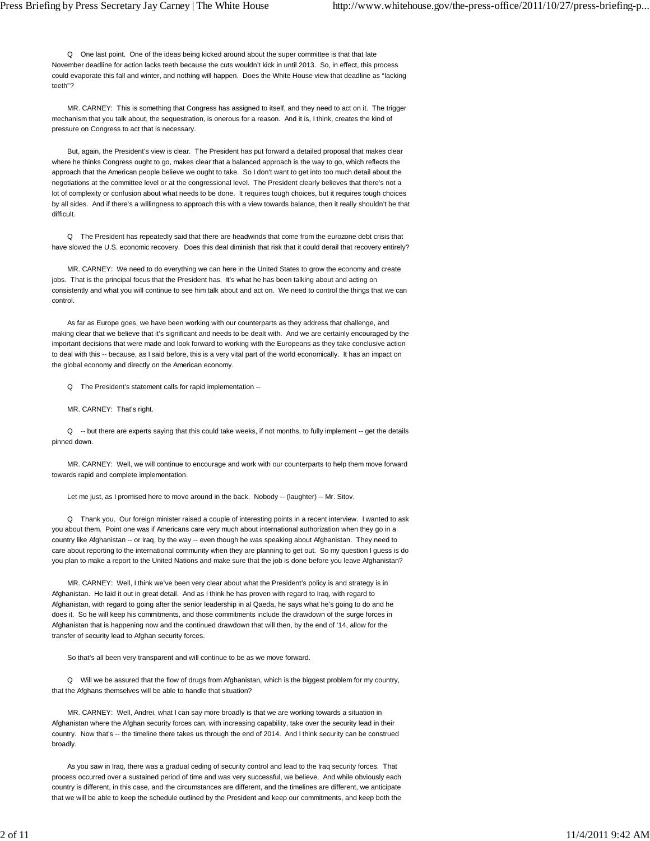Q One last point. One of the ideas being kicked around about the super committee is that that late November deadline for action lacks teeth because the cuts wouldn't kick in until 2013. So, in effect, this process could evaporate this fall and winter, and nothing will happen. Does the White House view that deadline as "lacking teeth"?

 MR. CARNEY: This is something that Congress has assigned to itself, and they need to act on it. The trigger mechanism that you talk about, the sequestration, is onerous for a reason. And it is, I think, creates the kind of pressure on Congress to act that is necessary.

 But, again, the President's view is clear. The President has put forward a detailed proposal that makes clear where he thinks Congress ought to go, makes clear that a balanced approach is the way to go, which reflects the approach that the American people believe we ought to take. So I don't want to get into too much detail about the negotiations at the committee level or at the congressional level. The President clearly believes that there's not a lot of complexity or confusion about what needs to be done. It requires tough choices, but it requires tough choices by all sides. And if there's a willingness to approach this with a view towards balance, then it really shouldn't be that difficult.

 Q The President has repeatedly said that there are headwinds that come from the eurozone debt crisis that have slowed the U.S. economic recovery. Does this deal diminish that risk that it could derail that recovery entirely?

 MR. CARNEY: We need to do everything we can here in the United States to grow the economy and create jobs. That is the principal focus that the President has. It's what he has been talking about and acting on consistently and what you will continue to see him talk about and act on. We need to control the things that we can control.

 As far as Europe goes, we have been working with our counterparts as they address that challenge, and making clear that we believe that it's significant and needs to be dealt with. And we are certainly encouraged by the important decisions that were made and look forward to working with the Europeans as they take conclusive action to deal with this -- because, as I said before, this is a very vital part of the world economically. It has an impact on the global economy and directly on the American economy.

Q The President's statement calls for rapid implementation --

MR. CARNEY: That's right.

Q -- but there are experts saying that this could take weeks, if not months, to fully implement -- get the details pinned down.

 MR. CARNEY: Well, we will continue to encourage and work with our counterparts to help them move forward towards rapid and complete implementation.

Let me just, as I promised here to move around in the back. Nobody -- (laughter) -- Mr. Sitov.

 Q Thank you. Our foreign minister raised a couple of interesting points in a recent interview. I wanted to ask you about them. Point one was if Americans care very much about international authorization when they go in a country like Afghanistan -- or Iraq, by the way -- even though he was speaking about Afghanistan. They need to care about reporting to the international community when they are planning to get out. So my question I guess is do you plan to make a report to the United Nations and make sure that the job is done before you leave Afghanistan?

 MR. CARNEY: Well, I think we've been very clear about what the President's policy is and strategy is in Afghanistan. He laid it out in great detail. And as I think he has proven with regard to Iraq, with regard to Afghanistan, with regard to going after the senior leadership in al Qaeda, he says what he's going to do and he does it. So he will keep his commitments, and those commitments include the drawdown of the surge forces in Afghanistan that is happening now and the continued drawdown that will then, by the end of '14, allow for the transfer of security lead to Afghan security forces.

So that's all been very transparent and will continue to be as we move forward.

 Q Will we be assured that the flow of drugs from Afghanistan, which is the biggest problem for my country, that the Afghans themselves will be able to handle that situation?

 MR. CARNEY: Well, Andrei, what I can say more broadly is that we are working towards a situation in Afghanistan where the Afghan security forces can, with increasing capability, take over the security lead in their country. Now that's -- the timeline there takes us through the end of 2014. And I think security can be construed broadly.

 As you saw in Iraq, there was a gradual ceding of security control and lead to the Iraq security forces. That process occurred over a sustained period of time and was very successful, we believe. And while obviously each country is different, in this case, and the circumstances are different, and the timelines are different, we anticipate that we will be able to keep the schedule outlined by the President and keep our commitments, and keep both the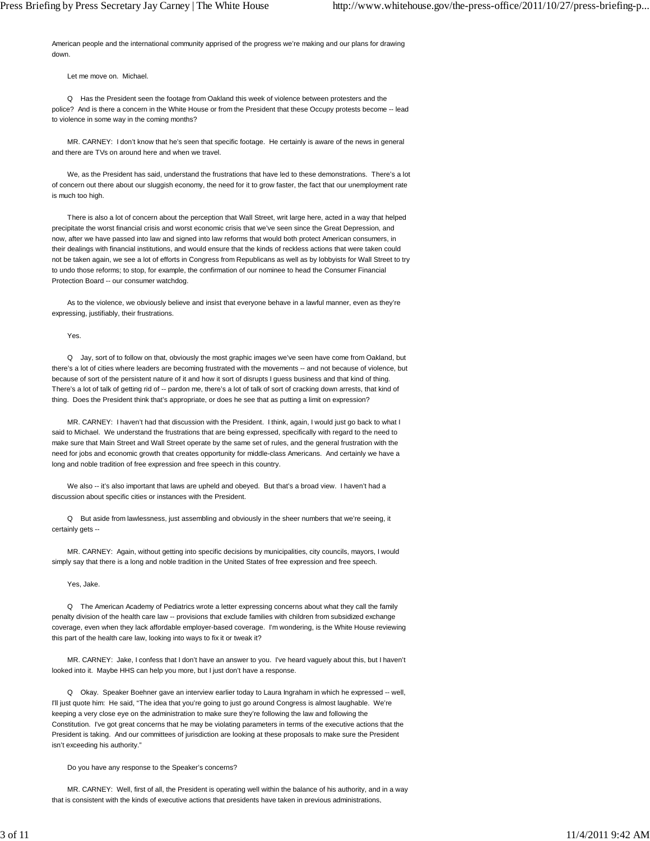American people and the international community apprised of the progress we're making and our plans for drawing down.

Let me move on. Michael.

 Q Has the President seen the footage from Oakland this week of violence between protesters and the police? And is there a concern in the White House or from the President that these Occupy protests become -- lead to violence in some way in the coming months?

 MR. CARNEY: I don't know that he's seen that specific footage. He certainly is aware of the news in general and there are TVs on around here and when we travel.

 We, as the President has said, understand the frustrations that have led to these demonstrations. There's a lot of concern out there about our sluggish economy, the need for it to grow faster, the fact that our unemployment rate is much too high.

 There is also a lot of concern about the perception that Wall Street, writ large here, acted in a way that helped precipitate the worst financial crisis and worst economic crisis that we've seen since the Great Depression, and now, after we have passed into law and signed into law reforms that would both protect American consumers, in their dealings with financial institutions, and would ensure that the kinds of reckless actions that were taken could not be taken again, we see a lot of efforts in Congress from Republicans as well as by lobbyists for Wall Street to try to undo those reforms; to stop, for example, the confirmation of our nominee to head the Consumer Financial Protection Board -- our consumer watchdog.

 As to the violence, we obviously believe and insist that everyone behave in a lawful manner, even as they're expressing, justifiably, their frustrations.

Yes.

 Q Jay, sort of to follow on that, obviously the most graphic images we've seen have come from Oakland, but there's a lot of cities where leaders are becoming frustrated with the movements -- and not because of violence, but because of sort of the persistent nature of it and how it sort of disrupts I guess business and that kind of thing. There's a lot of talk of getting rid of -- pardon me, there's a lot of talk of sort of cracking down arrests, that kind of thing. Does the President think that's appropriate, or does he see that as putting a limit on expression?

 MR. CARNEY: I haven't had that discussion with the President. I think, again, I would just go back to what I said to Michael. We understand the frustrations that are being expressed, specifically with regard to the need to make sure that Main Street and Wall Street operate by the same set of rules, and the general frustration with the need for jobs and economic growth that creates opportunity for middle-class Americans. And certainly we have a long and noble tradition of free expression and free speech in this country.

 We also -- it's also important that laws are upheld and obeyed. But that's a broad view. I haven't had a discussion about specific cities or instances with the President.

 Q But aside from lawlessness, just assembling and obviously in the sheer numbers that we're seeing, it certainly gets --

 MR. CARNEY: Again, without getting into specific decisions by municipalities, city councils, mayors, I would simply say that there is a long and noble tradition in the United States of free expression and free speech.

Yes, Jake.

 Q The American Academy of Pediatrics wrote a letter expressing concerns about what they call the family penalty division of the health care law -- provisions that exclude families with children from subsidized exchange coverage, even when they lack affordable employer-based coverage. I'm wondering, is the White House reviewing this part of the health care law, looking into ways to fix it or tweak it?

 MR. CARNEY: Jake, I confess that I don't have an answer to you. I've heard vaguely about this, but I haven't looked into it. Maybe HHS can help you more, but I just don't have a response.

 Q Okay. Speaker Boehner gave an interview earlier today to Laura Ingraham in which he expressed -- well, I'll just quote him: He said, "The idea that you're going to just go around Congress is almost laughable. We're keeping a very close eye on the administration to make sure they're following the law and following the Constitution. I've got great concerns that he may be violating parameters in terms of the executive actions that the President is taking. And our committees of jurisdiction are looking at these proposals to make sure the President isn't exceeding his authority."

Do you have any response to the Speaker's concerns?

 MR. CARNEY: Well, first of all, the President is operating well within the balance of his authority, and in a way that is consistent with the kinds of executive actions that presidents have taken in previous administrations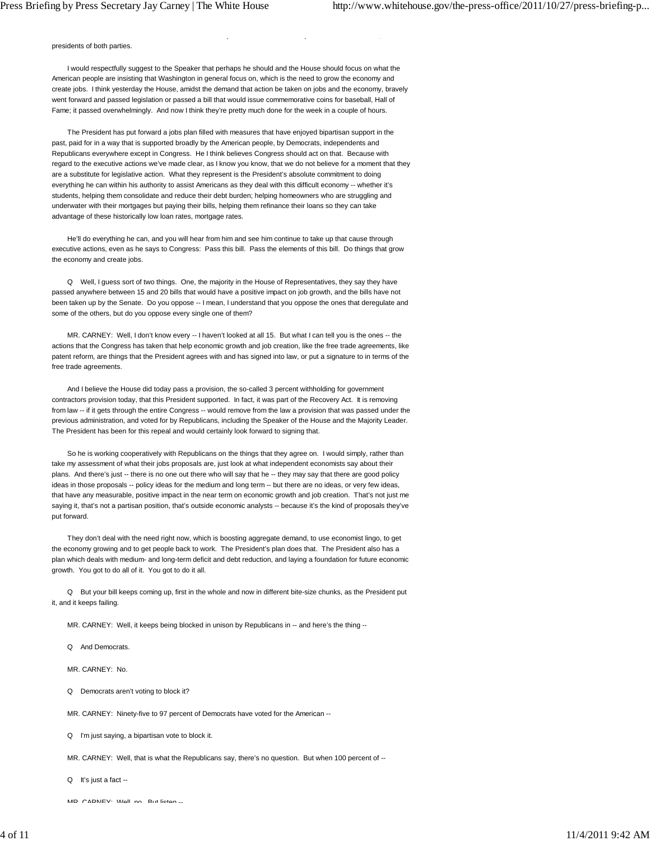presidents of both parties.

 I would respectfully suggest to the Speaker that perhaps he should and the House should focus on what the American people are insisting that Washington in general focus on, which is the need to grow the economy and create jobs. I think yesterday the House, amidst the demand that action be taken on jobs and the economy, bravely went forward and passed legislation or passed a bill that would issue commemorative coins for baseball, Hall of Fame; it passed overwhelmingly. And now I think they're pretty much done for the week in a couple of hours.

p p ,

 The President has put forward a jobs plan filled with measures that have enjoyed bipartisan support in the past, paid for in a way that is supported broadly by the American people, by Democrats, independents and Republicans everywhere except in Congress. He I think believes Congress should act on that. Because with regard to the executive actions we've made clear, as I know you know, that we do not believe for a moment that they are a substitute for legislative action. What they represent is the President's absolute commitment to doing everything he can within his authority to assist Americans as they deal with this difficult economy -- whether it's students, helping them consolidate and reduce their debt burden; helping homeowners who are struggling and underwater with their mortgages but paying their bills, helping them refinance their loans so they can take advantage of these historically low loan rates, mortgage rates.

 He'll do everything he can, and you will hear from him and see him continue to take up that cause through executive actions, even as he says to Congress: Pass this bill. Pass the elements of this bill. Do things that grow the economy and create jobs.

 Q Well, I guess sort of two things. One, the majority in the House of Representatives, they say they have passed anywhere between 15 and 20 bills that would have a positive impact on job growth, and the bills have not been taken up by the Senate. Do you oppose -- I mean, I understand that you oppose the ones that deregulate and some of the others, but do you oppose every single one of them?

MR. CARNEY: Well, I don't know every -- I haven't looked at all 15. But what I can tell you is the ones -- the actions that the Congress has taken that help economic growth and job creation, like the free trade agreements, like patent reform, are things that the President agrees with and has signed into law, or put a signature to in terms of the free trade agreements.

 And I believe the House did today pass a provision, the so-called 3 percent withholding for government contractors provision today, that this President supported. In fact, it was part of the Recovery Act. It is removing from law -- if it gets through the entire Congress -- would remove from the law a provision that was passed under the previous administration, and voted for by Republicans, including the Speaker of the House and the Majority Leader. The President has been for this repeal and would certainly look forward to signing that.

 So he is working cooperatively with Republicans on the things that they agree on. I would simply, rather than take my assessment of what their jobs proposals are, just look at what independent economists say about their plans. And there's just -- there is no one out there who will say that he -- they may say that there are good policy ideas in those proposals -- policy ideas for the medium and long term -- but there are no ideas, or very few ideas, that have any measurable, positive impact in the near term on economic growth and job creation. That's not just me saying it, that's not a partisan position, that's outside economic analysts -- because it's the kind of proposals they've put forward.

 They don't deal with the need right now, which is boosting aggregate demand, to use economist lingo, to get the economy growing and to get people back to work. The President's plan does that. The President also has a plan which deals with medium- and long-term deficit and debt reduction, and laying a foundation for future economic growth. You got to do all of it. You got to do it all.

 Q But your bill keeps coming up, first in the whole and now in different bite-size chunks, as the President put it, and it keeps failing.

MR. CARNEY: Well, it keeps being blocked in unison by Republicans in -- and here's the thing --

Q And Democrats.

MR. CARNEY: No.

Q Democrats aren't voting to block it?

MR. CARNEY: Ninety-five to 97 percent of Democrats have voted for the American --

Q I'm just saying, a bipartisan vote to block it.

MR. CARNEY: Well, that is what the Republicans say, there's no question. But when 100 percent of --

Q It's just a fact --

MD CADNEY: Wall no But listen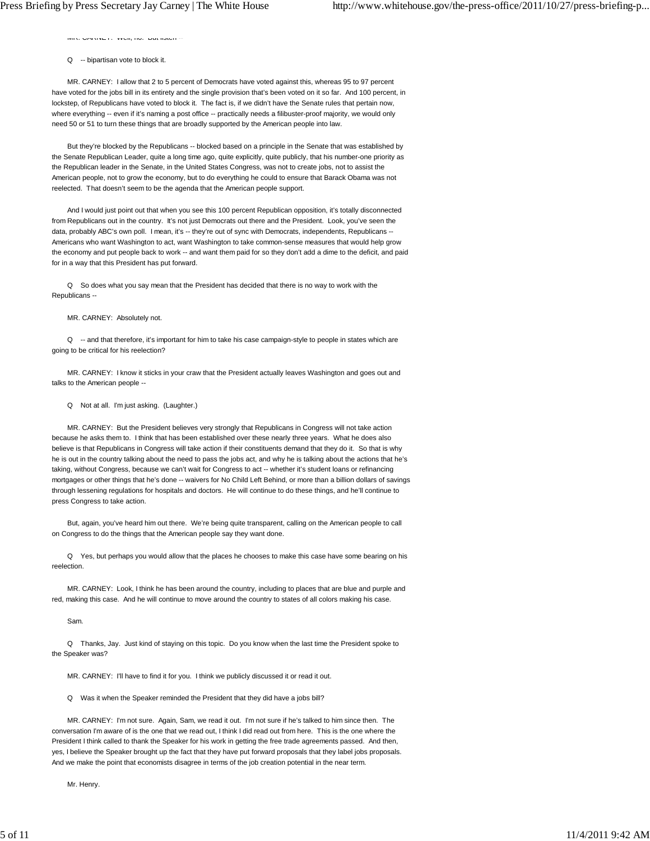$M(X, \cup \cap N)$  and  $X \subset Y$  , well, no. But noted  $\sim$ 

#### Q -- bipartisan vote to block it.

 MR. CARNEY: I allow that 2 to 5 percent of Democrats have voted against this, whereas 95 to 97 percent have voted for the jobs bill in its entirety and the single provision that's been voted on it so far. And 100 percent, in lockstep, of Republicans have voted to block it. The fact is, if we didn't have the Senate rules that pertain now, where everything -- even if it's naming a post office -- practically needs a filibuster-proof majority, we would only need 50 or 51 to turn these things that are broadly supported by the American people into law.

 But they're blocked by the Republicans -- blocked based on a principle in the Senate that was established by the Senate Republican Leader, quite a long time ago, quite explicitly, quite publicly, that his number-one priority as the Republican leader in the Senate, in the United States Congress, was not to create jobs, not to assist the American people, not to grow the economy, but to do everything he could to ensure that Barack Obama was not reelected. That doesn't seem to be the agenda that the American people support.

 And I would just point out that when you see this 100 percent Republican opposition, it's totally disconnected from Republicans out in the country. It's not just Democrats out there and the President. Look, you've seen the data, probably ABC's own poll. I mean, it's -- they're out of sync with Democrats, independents, Republicans --Americans who want Washington to act, want Washington to take common-sense measures that would help grow the economy and put people back to work -- and want them paid for so they don't add a dime to the deficit, and paid for in a way that this President has put forward.

 Q So does what you say mean that the President has decided that there is no way to work with the Republicans --

#### MR. CARNEY: Absolutely not.

Q -- and that therefore, it's important for him to take his case campaign-style to people in states which are going to be critical for his reelection?

 MR. CARNEY: I know it sticks in your craw that the President actually leaves Washington and goes out and talks to the American people --

# Q Not at all. I'm just asking. (Laughter.)

 MR. CARNEY: But the President believes very strongly that Republicans in Congress will not take action because he asks them to. I think that has been established over these nearly three years. What he does also believe is that Republicans in Congress will take action if their constituents demand that they do it. So that is why he is out in the country talking about the need to pass the jobs act, and why he is talking about the actions that he's taking, without Congress, because we can't wait for Congress to act -- whether it's student loans or refinancing mortgages or other things that he's done -- waivers for No Child Left Behind, or more than a billion dollars of savings through lessening regulations for hospitals and doctors. He will continue to do these things, and he'll continue to press Congress to take action.

 But, again, you've heard him out there. We're being quite transparent, calling on the American people to call on Congress to do the things that the American people say they want done.

 Q Yes, but perhaps you would allow that the places he chooses to make this case have some bearing on his reelection.

 MR. CARNEY: Look, I think he has been around the country, including to places that are blue and purple and red, making this case. And he will continue to move around the country to states of all colors making his case.

Sam.

 Q Thanks, Jay. Just kind of staying on this topic. Do you know when the last time the President spoke to the Speaker was?

MR. CARNEY: I'll have to find it for you. I think we publicly discussed it or read it out.

Q Was it when the Speaker reminded the President that they did have a jobs bill?

 MR. CARNEY: I'm not sure. Again, Sam, we read it out. I'm not sure if he's talked to him since then. The conversation I'm aware of is the one that we read out, I think I did read out from here. This is the one where the President I think called to thank the Speaker for his work in getting the free trade agreements passed. And then, yes, I believe the Speaker brought up the fact that they have put forward proposals that they label jobs proposals. And we make the point that economists disagree in terms of the job creation potential in the near term.

Mr. Henry.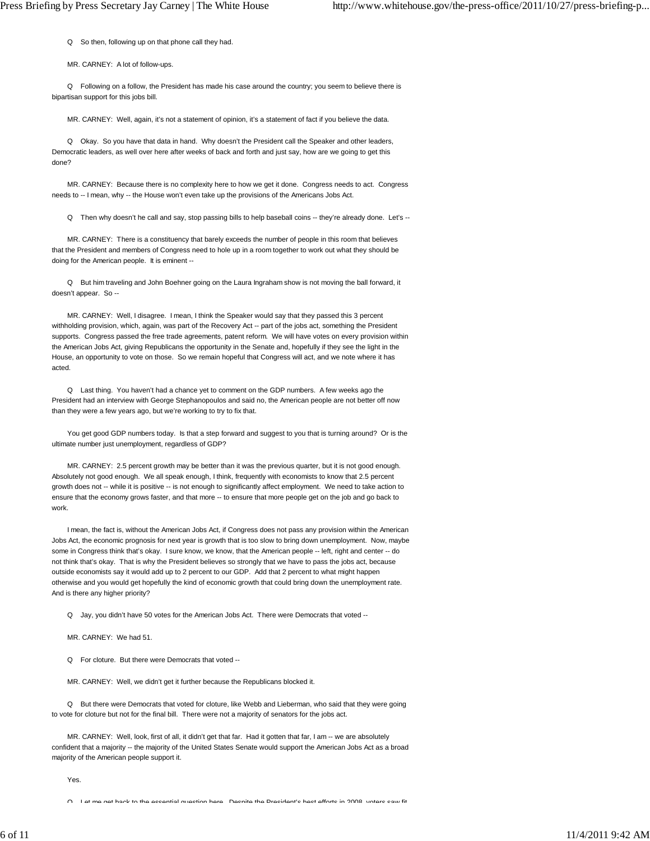Q So then, following up on that phone call they had.

MR. CARNEY: A lot of follow-ups.

 Q Following on a follow, the President has made his case around the country; you seem to believe there is bipartisan support for this jobs bill.

MR. CARNEY: Well, again, it's not a statement of opinion, it's a statement of fact if you believe the data.

 Q Okay. So you have that data in hand. Why doesn't the President call the Speaker and other leaders, Democratic leaders, as well over here after weeks of back and forth and just say, how are we going to get this done?

 MR. CARNEY: Because there is no complexity here to how we get it done. Congress needs to act. Congress needs to -- I mean, why -- the House won't even take up the provisions of the Americans Jobs Act.

Q Then why doesn't he call and say, stop passing bills to help baseball coins -- they're already done. Let's --

 MR. CARNEY: There is a constituency that barely exceeds the number of people in this room that believes that the President and members of Congress need to hole up in a room together to work out what they should be doing for the American people. It is eminent --

 Q But him traveling and John Boehner going on the Laura Ingraham show is not moving the ball forward, it doesn't appear. So --

 MR. CARNEY: Well, I disagree. I mean, I think the Speaker would say that they passed this 3 percent withholding provision, which, again, was part of the Recovery Act -- part of the jobs act, something the President supports. Congress passed the free trade agreements, patent reform. We will have votes on every provision within the American Jobs Act, giving Republicans the opportunity in the Senate and, hopefully if they see the light in the House, an opportunity to vote on those. So we remain hopeful that Congress will act, and we note where it has acted.

 Q Last thing. You haven't had a chance yet to comment on the GDP numbers. A few weeks ago the President had an interview with George Stephanopoulos and said no, the American people are not better off now than they were a few years ago, but we're working to try to fix that.

You get good GDP numbers today. Is that a step forward and suggest to you that is turning around? Or is the ultimate number just unemployment, regardless of GDP?

 MR. CARNEY: 2.5 percent growth may be better than it was the previous quarter, but it is not good enough. Absolutely not good enough. We all speak enough, I think, frequently with economists to know that 2.5 percent growth does not -- while it is positive -- is not enough to significantly affect employment. We need to take action to ensure that the economy grows faster, and that more -- to ensure that more people get on the job and go back to work.

 I mean, the fact is, without the American Jobs Act, if Congress does not pass any provision within the American Jobs Act, the economic prognosis for next year is growth that is too slow to bring down unemployment. Now, maybe some in Congress think that's okay. I sure know, we know, that the American people -- left, right and center -- do not think that's okay. That is why the President believes so strongly that we have to pass the jobs act, because outside economists say it would add up to 2 percent to our GDP. Add that 2 percent to what might happen otherwise and you would get hopefully the kind of economic growth that could bring down the unemployment rate. And is there any higher priority?

Q Jay, you didn't have 50 votes for the American Jobs Act. There were Democrats that voted --

MR. CARNEY: We had 51.

Q For cloture. But there were Democrats that voted --

MR. CARNEY: Well, we didn't get it further because the Republicans blocked it.

 Q But there were Democrats that voted for cloture, like Webb and Lieberman, who said that they were going to vote for cloture but not for the final bill. There were not a majority of senators for the jobs act.

 MR. CARNEY: Well, look, first of all, it didn't get that far. Had it gotten that far, I am -- we are absolutely confident that a majority -- the majority of the United States Senate would support the American Jobs Act as a broad majority of the American people support it.

Yes.

Q Let me get hack to the essential question here Despite the President's hest efforts in 2008 voters saw fit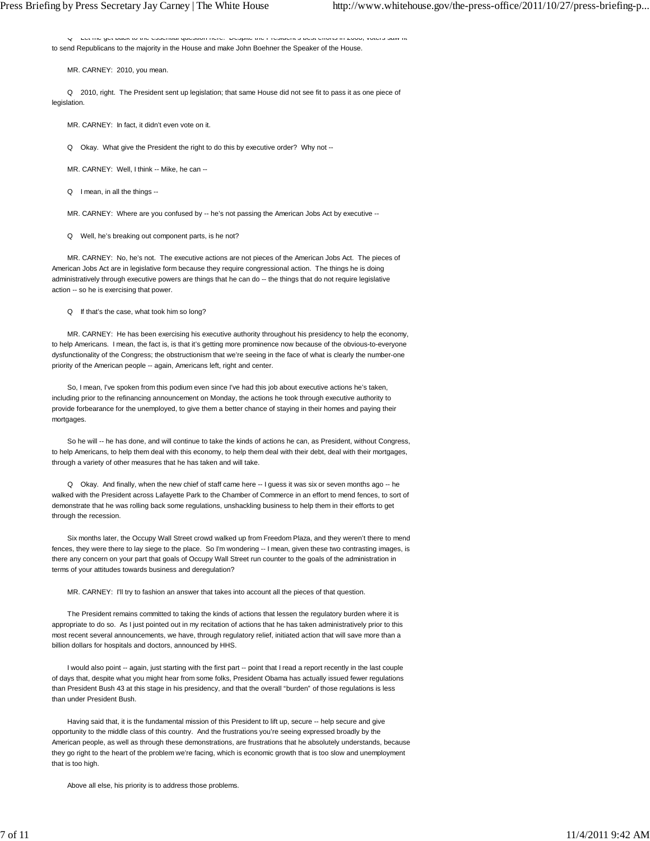Q Let me get back to the essential question here. Despite the President s best efforts in 2008, voters saw fit to send Republicans to the majority in the House and make John Boehner the Speaker of the House.

MR. CARNEY: 2010, you mean.

 Q 2010, right. The President sent up legislation; that same House did not see fit to pass it as one piece of legislation.

MR. CARNEY: In fact, it didn't even vote on it.

Q Okay. What give the President the right to do this by executive order? Why not --

MR. CARNEY: Well, I think -- Mike, he can --

Q I mean, in all the things --

MR. CARNEY: Where are you confused by -- he's not passing the American Jobs Act by executive --

Q Well, he's breaking out component parts, is he not?

 MR. CARNEY: No, he's not. The executive actions are not pieces of the American Jobs Act. The pieces of American Jobs Act are in legislative form because they require congressional action. The things he is doing administratively through executive powers are things that he can do -- the things that do not require legislative action -- so he is exercising that power.

Q If that's the case, what took him so long?

 MR. CARNEY: He has been exercising his executive authority throughout his presidency to help the economy, to help Americans. I mean, the fact is, is that it's getting more prominence now because of the obvious-to-everyone dysfunctionality of the Congress; the obstructionism that we're seeing in the face of what is clearly the number-one priority of the American people -- again, Americans left, right and center.

 So, I mean, I've spoken from this podium even since I've had this job about executive actions he's taken, including prior to the refinancing announcement on Monday, the actions he took through executive authority to provide forbearance for the unemployed, to give them a better chance of staying in their homes and paying their mortgages.

So he will -- he has done, and will continue to take the kinds of actions he can, as President, without Congress, to help Americans, to help them deal with this economy, to help them deal with their debt, deal with their mortgages, through a variety of other measures that he has taken and will take.

Q Okay. And finally, when the new chief of staff came here -- I guess it was six or seven months ago -- he walked with the President across Lafayette Park to the Chamber of Commerce in an effort to mend fences, to sort of demonstrate that he was rolling back some regulations, unshackling business to help them in their efforts to get through the recession.

 Six months later, the Occupy Wall Street crowd walked up from Freedom Plaza, and they weren't there to mend fences, they were there to lay siege to the place. So I'm wondering -- I mean, given these two contrasting images, is there any concern on your part that goals of Occupy Wall Street run counter to the goals of the administration in terms of your attitudes towards business and deregulation?

MR. CARNEY: I'll try to fashion an answer that takes into account all the pieces of that question.

 The President remains committed to taking the kinds of actions that lessen the regulatory burden where it is appropriate to do so. As I just pointed out in my recitation of actions that he has taken administratively prior to this most recent several announcements, we have, through regulatory relief, initiated action that will save more than a billion dollars for hospitals and doctors, announced by HHS.

 I would also point -- again, just starting with the first part -- point that I read a report recently in the last couple of days that, despite what you might hear from some folks, President Obama has actually issued fewer regulations than President Bush 43 at this stage in his presidency, and that the overall "burden" of those regulations is less than under President Bush.

 Having said that, it is the fundamental mission of this President to lift up, secure -- help secure and give opportunity to the middle class of this country. And the frustrations you're seeing expressed broadly by the American people, as well as through these demonstrations, are frustrations that he absolutely understands, because they go right to the heart of the problem we're facing, which is economic growth that is too slow and unemployment that is too high.

Above all else, his priority is to address those problems.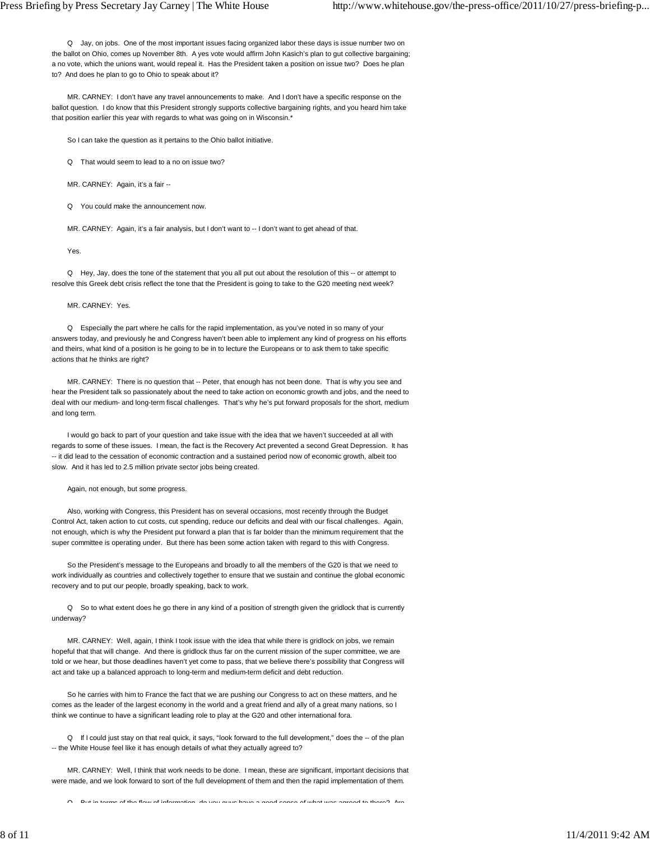Q Jay, on jobs. One of the most important issues facing organized labor these days is issue number two on the ballot on Ohio, comes up November 8th. A yes vote would affirm John Kasich's plan to gut collective bargaining; a no vote, which the unions want, would repeal it. Has the President taken a position on issue two? Does he plan to? And does he plan to go to Ohio to speak about it?

 MR. CARNEY: I don't have any travel announcements to make. And I don't have a specific response on the ballot question. I do know that this President strongly supports collective bargaining rights, and you heard him take that position earlier this year with regards to what was going on in Wisconsin.\*

So I can take the question as it pertains to the Ohio ballot initiative.

Q That would seem to lead to a no on issue two?

MR. CARNEY: Again, it's a fair --

Q You could make the announcement now.

MR. CARNEY: Again, it's a fair analysis, but I don't want to -- I don't want to get ahead of that.

Yes.

 Q Hey, Jay, does the tone of the statement that you all put out about the resolution of this -- or attempt to resolve this Greek debt crisis reflect the tone that the President is going to take to the G20 meeting next week?

#### MR. CARNEY: Yes.

 Q Especially the part where he calls for the rapid implementation, as you've noted in so many of your answers today, and previously he and Congress haven't been able to implement any kind of progress on his efforts and theirs, what kind of a position is he going to be in to lecture the Europeans or to ask them to take specific actions that he thinks are right?

MR. CARNEY: There is no question that -- Peter, that enough has not been done. That is why you see and hear the President talk so passionately about the need to take action on economic growth and jobs, and the need to deal with our medium- and long-term fiscal challenges. That's why he's put forward proposals for the short, medium and long term.

 I would go back to part of your question and take issue with the idea that we haven't succeeded at all with regards to some of these issues. I mean, the fact is the Recovery Act prevented a second Great Depression. It has -- it did lead to the cessation of economic contraction and a sustained period now of economic growth, albeit too slow. And it has led to 2.5 million private sector jobs being created.

Again, not enough, but some progress.

 Also, working with Congress, this President has on several occasions, most recently through the Budget Control Act, taken action to cut costs, cut spending, reduce our deficits and deal with our fiscal challenges. Again, not enough, which is why the President put forward a plan that is far bolder than the minimum requirement that the super committee is operating under. But there has been some action taken with regard to this with Congress.

 So the President's message to the Europeans and broadly to all the members of the G20 is that we need to work individually as countries and collectively together to ensure that we sustain and continue the global economic recovery and to put our people, broadly speaking, back to work.

 Q So to what extent does he go there in any kind of a position of strength given the gridlock that is currently underway?

 MR. CARNEY: Well, again, I think I took issue with the idea that while there is gridlock on jobs, we remain hopeful that that will change. And there is gridlock thus far on the current mission of the super committee, we are told or we hear, but those deadlines haven't yet come to pass, that we believe there's possibility that Congress will act and take up a balanced approach to long-term and medium-term deficit and debt reduction.

 So he carries with him to France the fact that we are pushing our Congress to act on these matters, and he comes as the leader of the largest economy in the world and a great friend and ally of a great many nations, so I think we continue to have a significant leading role to play at the G20 and other international fora.

 Q If I could just stay on that real quick, it says, "look forward to the full development," does the -- of the plan -- the White House feel like it has enough details of what they actually agreed to?

 MR. CARNEY: Well, I think that work needs to be done. I mean, these are significant, important decisions that were made, and we look forward to sort of the full development of them and then the rapid implementation of them.

Q But in terms of the flow of information do you guys have a good sense of what was agreed to there? Are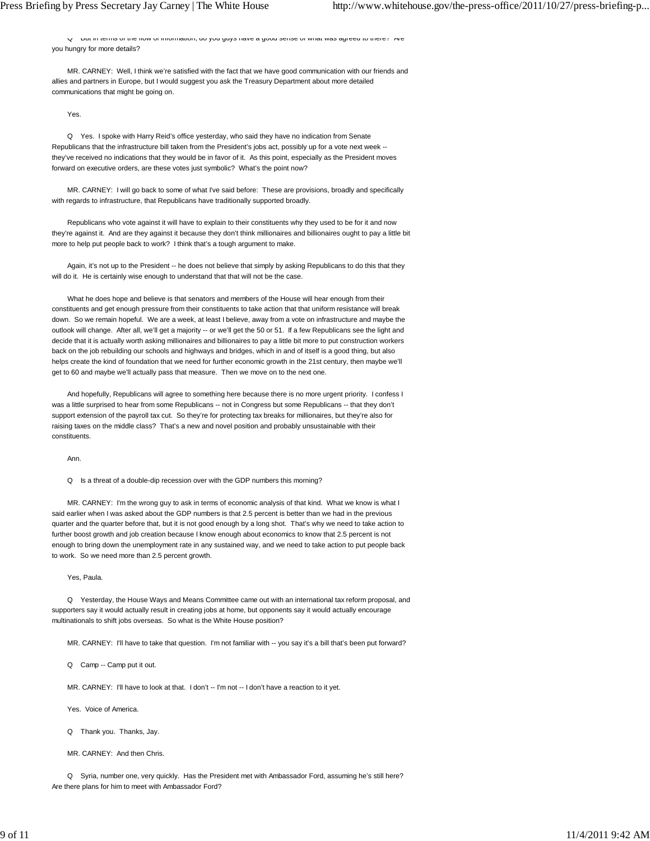Q But in terms of the flow of information, do you guys have a good sense of what was agreed to there? Are you hungry for more details?

 MR. CARNEY: Well, I think we're satisfied with the fact that we have good communication with our friends and allies and partners in Europe, but I would suggest you ask the Treasury Department about more detailed communications that might be going on.

Yes.

 Q Yes. I spoke with Harry Reid's office yesterday, who said they have no indication from Senate Republicans that the infrastructure bill taken from the President's jobs act, possibly up for a vote next week - they've received no indications that they would be in favor of it. As this point, especially as the President moves forward on executive orders, are these votes just symbolic? What's the point now?

 MR. CARNEY: I will go back to some of what I've said before: These are provisions, broadly and specifically with regards to infrastructure, that Republicans have traditionally supported broadly.

 Republicans who vote against it will have to explain to their constituents why they used to be for it and now they're against it. And are they against it because they don't think millionaires and billionaires ought to pay a little bit more to help put people back to work? I think that's a tough argument to make.

Again, it's not up to the President -- he does not believe that simply by asking Republicans to do this that they will do it. He is certainly wise enough to understand that that will not be the case.

 What he does hope and believe is that senators and members of the House will hear enough from their constituents and get enough pressure from their constituents to take action that that uniform resistance will break down. So we remain hopeful. We are a week, at least I believe, away from a vote on infrastructure and maybe the outlook will change. After all, we'll get a majority -- or we'll get the 50 or 51. If a few Republicans see the light and decide that it is actually worth asking millionaires and billionaires to pay a little bit more to put construction workers back on the job rebuilding our schools and highways and bridges, which in and of itself is a good thing, but also helps create the kind of foundation that we need for further economic growth in the 21st century, then maybe we'll get to 60 and maybe we'll actually pass that measure. Then we move on to the next one.

 And hopefully, Republicans will agree to something here because there is no more urgent priority. I confess I was a little surprised to hear from some Republicans -- not in Congress but some Republicans -- that they don't support extension of the payroll tax cut. So they're for protecting tax breaks for millionaires, but they're also for raising taxes on the middle class? That's a new and novel position and probably unsustainable with their constituents.

Ann.

Q Is a threat of a double-dip recession over with the GDP numbers this morning?

 MR. CARNEY: I'm the wrong guy to ask in terms of economic analysis of that kind. What we know is what I said earlier when I was asked about the GDP numbers is that 2.5 percent is better than we had in the previous quarter and the quarter before that, but it is not good enough by a long shot. That's why we need to take action to further boost growth and job creation because I know enough about economics to know that 2.5 percent is not enough to bring down the unemployment rate in any sustained way, and we need to take action to put people back to work. So we need more than 2.5 percent growth.

Yes, Paula.

 Q Yesterday, the House Ways and Means Committee came out with an international tax reform proposal, and supporters say it would actually result in creating jobs at home, but opponents say it would actually encourage multinationals to shift jobs overseas. So what is the White House position?

MR. CARNEY: I'll have to take that question. I'm not familiar with -- you say it's a bill that's been put forward?

Q Camp -- Camp put it out.

MR. CARNEY: I'll have to look at that. I don't -- I'm not -- I don't have a reaction to it yet.

Yes. Voice of America.

Q Thank you. Thanks, Jay.

MR. CARNEY: And then Chris.

 Q Syria, number one, very quickly. Has the President met with Ambassador Ford, assuming he's still here? Are there plans for him to meet with Ambassador Ford?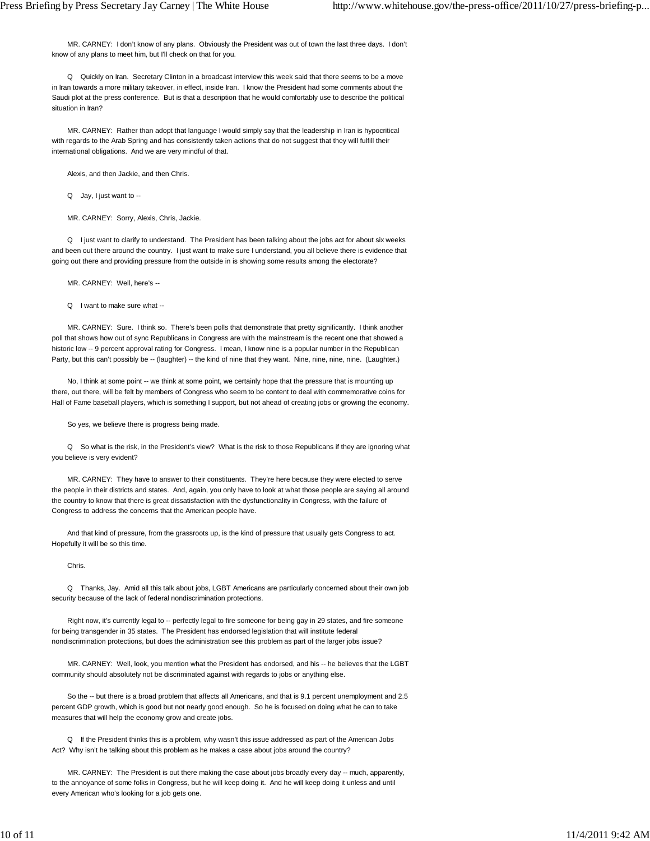MR. CARNEY: I don't know of any plans. Obviously the President was out of town the last three days. I don't know of any plans to meet him, but I'll check on that for you.

 Q Quickly on Iran. Secretary Clinton in a broadcast interview this week said that there seems to be a move in Iran towards a more military takeover, in effect, inside Iran. I know the President had some comments about the Saudi plot at the press conference. But is that a description that he would comfortably use to describe the political situation in Iran?

 MR. CARNEY: Rather than adopt that language I would simply say that the leadership in Iran is hypocritical with regards to the Arab Spring and has consistently taken actions that do not suggest that they will fulfill their international obligations. And we are very mindful of that.

Alexis, and then Jackie, and then Chris.

Q Jay, I just want to --

MR. CARNEY: Sorry, Alexis, Chris, Jackie.

 Q I just want to clarify to understand. The President has been talking about the jobs act for about six weeks and been out there around the country. I just want to make sure I understand, you all believe there is evidence that going out there and providing pressure from the outside in is showing some results among the electorate?

MR. CARNEY: Well, here's --

Q I want to make sure what --

 MR. CARNEY: Sure. I think so. There's been polls that demonstrate that pretty significantly. I think another poll that shows how out of sync Republicans in Congress are with the mainstream is the recent one that showed a historic low -- 9 percent approval rating for Congress. I mean, I know nine is a popular number in the Republican Party, but this can't possibly be -- (laughter) -- the kind of nine that they want. Nine, nine, nine, nine. (Laughter.)

No, I think at some point -- we think at some point, we certainly hope that the pressure that is mounting up there, out there, will be felt by members of Congress who seem to be content to deal with commemorative coins for Hall of Fame baseball players, which is something I support, but not ahead of creating jobs or growing the economy.

So yes, we believe there is progress being made.

 Q So what is the risk, in the President's view? What is the risk to those Republicans if they are ignoring what you believe is very evident?

 MR. CARNEY: They have to answer to their constituents. They're here because they were elected to serve the people in their districts and states. And, again, you only have to look at what those people are saying all around the country to know that there is great dissatisfaction with the dysfunctionality in Congress, with the failure of Congress to address the concerns that the American people have.

 And that kind of pressure, from the grassroots up, is the kind of pressure that usually gets Congress to act. Hopefully it will be so this time.

Chris.

 Q Thanks, Jay. Amid all this talk about jobs, LGBT Americans are particularly concerned about their own job security because of the lack of federal nondiscrimination protections.

 Right now, it's currently legal to -- perfectly legal to fire someone for being gay in 29 states, and fire someone for being transgender in 35 states. The President has endorsed legislation that will institute federal nondiscrimination protections, but does the administration see this problem as part of the larger jobs issue?

MR. CARNEY: Well, look, you mention what the President has endorsed, and his -- he believes that the LGBT community should absolutely not be discriminated against with regards to jobs or anything else.

 So the -- but there is a broad problem that affects all Americans, and that is 9.1 percent unemployment and 2.5 percent GDP growth, which is good but not nearly good enough. So he is focused on doing what he can to take measures that will help the economy grow and create jobs.

 Q If the President thinks this is a problem, why wasn't this issue addressed as part of the American Jobs Act? Why isn't he talking about this problem as he makes a case about jobs around the country?

 MR. CARNEY: The President is out there making the case about jobs broadly every day -- much, apparently, to the annoyance of some folks in Congress, but he will keep doing it. And he will keep doing it unless and until every American who's looking for a job gets one.